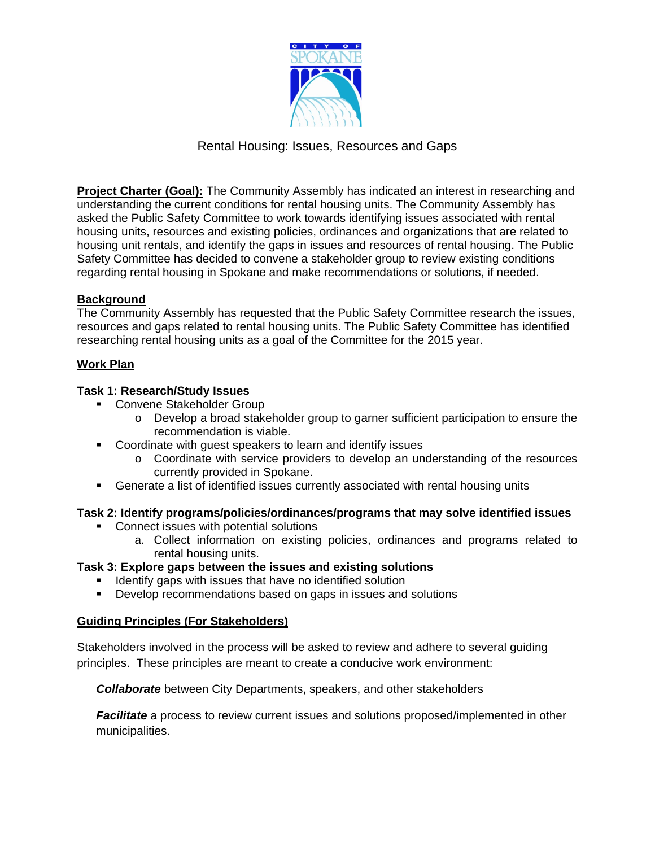

# Rental Housing: Issues, Resources and Gaps

**Project Charter (Goal):** The Community Assembly has indicated an interest in researching and understanding the current conditions for rental housing units. The Community Assembly has asked the Public Safety Committee to work towards identifying issues associated with rental housing units, resources and existing policies, ordinances and organizations that are related to housing unit rentals, and identify the gaps in issues and resources of rental housing. The Public Safety Committee has decided to convene a stakeholder group to review existing conditions regarding rental housing in Spokane and make recommendations or solutions, if needed.

# **Background**

The Community Assembly has requested that the Public Safety Committee research the issues, resources and gaps related to rental housing units. The Public Safety Committee has identified researching rental housing units as a goal of the Committee for the 2015 year.

## **Work Plan**

## **Task 1: Research/Study Issues**

- **EXECONVERE Stakeholder Group** 
	- o Develop a broad stakeholder group to garner sufficient participation to ensure the recommendation is viable.
- Coordinate with guest speakers to learn and identify issues
	- o Coordinate with service providers to develop an understanding of the resources currently provided in Spokane.
- Generate a list of identified issues currently associated with rental housing units

## **Task 2: Identify programs/policies/ordinances/programs that may solve identified issues**

- **Connect issues with potential solutions** 
	- a. Collect information on existing policies, ordinances and programs related to rental housing units.

# **Task 3: Explore gaps between the issues and existing solutions**

- **If Identify gaps with issues that have no identified solution**
- **Develop recommendations based on gaps in issues and solutions**

## **Guiding Principles (For Stakeholders)**

Stakeholders involved in the process will be asked to review and adhere to several guiding principles. These principles are meant to create a conducive work environment:

*Collaborate* between City Departments, speakers, and other stakeholders

*Facilitate* a process to review current issues and solutions proposed/implemented in other municipalities.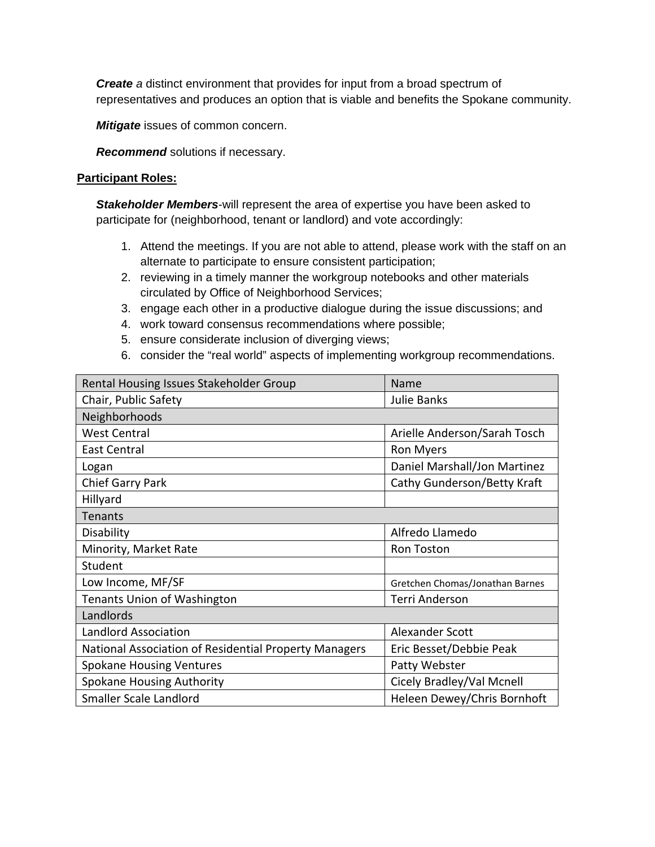*Create a* distinct environment that provides for input from a broad spectrum of representatives and produces an option that is viable and benefits the Spokane community.

*Mitigate* issues of common concern.

*Recommend* solutions if necessary.

#### **Participant Roles:**

*Stakeholder Members*-will represent the area of expertise you have been asked to participate for (neighborhood, tenant or landlord) and vote accordingly:

- 1. Attend the meetings. If you are not able to attend, please work with the staff on an alternate to participate to ensure consistent participation;
- 2. reviewing in a timely manner the workgroup notebooks and other materials circulated by Office of Neighborhood Services;
- 3. engage each other in a productive dialogue during the issue discussions; and
- 4. work toward consensus recommendations where possible;
- 5. ensure considerate inclusion of diverging views;
- 6. consider the "real world" aspects of implementing workgroup recommendations.

| Rental Housing Issues Stakeholder Group               | Name                            |  |
|-------------------------------------------------------|---------------------------------|--|
| Chair, Public Safety                                  | <b>Julie Banks</b>              |  |
| Neighborhoods                                         |                                 |  |
| <b>West Central</b>                                   | Arielle Anderson/Sarah Tosch    |  |
| <b>East Central</b>                                   | Ron Myers                       |  |
| Logan                                                 | Daniel Marshall/Jon Martinez    |  |
| Chief Garry Park                                      | Cathy Gunderson/Betty Kraft     |  |
| Hillyard                                              |                                 |  |
| Tenants                                               |                                 |  |
| Disability                                            | Alfredo Llamedo                 |  |
| Minority, Market Rate                                 | Ron Toston                      |  |
| Student                                               |                                 |  |
| Low Income, MF/SF                                     | Gretchen Chomas/Jonathan Barnes |  |
| <b>Tenants Union of Washington</b>                    | <b>Terri Anderson</b>           |  |
| Landlords                                             |                                 |  |
| <b>Landlord Association</b>                           | Alexander Scott                 |  |
| National Association of Residential Property Managers | Eric Besset/Debbie Peak         |  |
| <b>Spokane Housing Ventures</b>                       | Patty Webster                   |  |
| <b>Spokane Housing Authority</b>                      | Cicely Bradley/Val Mcnell       |  |
| Smaller Scale Landlord                                | Heleen Dewey/Chris Bornhoft     |  |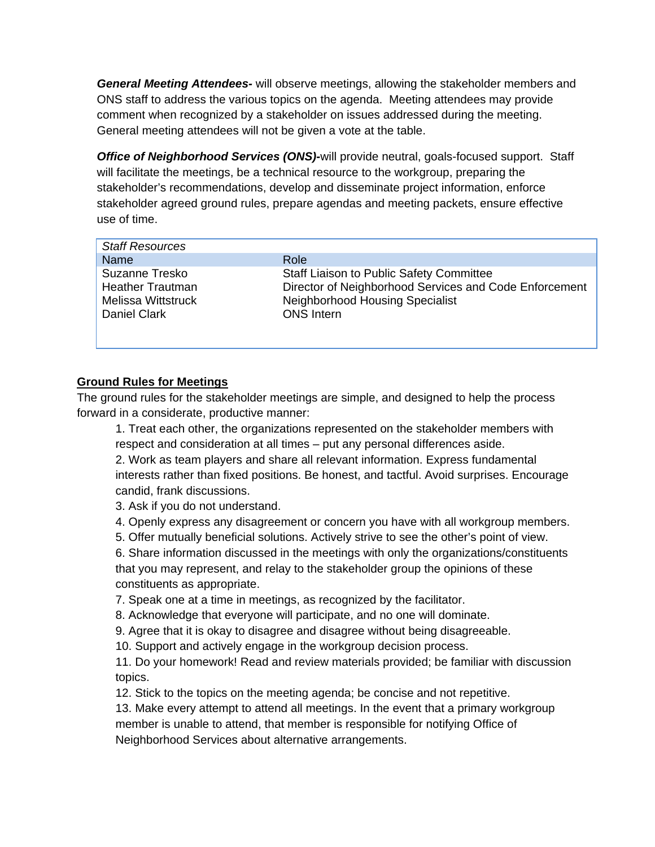*General Meeting Attendees-* will observe meetings, allowing the stakeholder members and ONS staff to address the various topics on the agenda. Meeting attendees may provide comment when recognized by a stakeholder on issues addressed during the meeting. General meeting attendees will not be given a vote at the table.

*Office of Neighborhood Services (ONS)-*will provide neutral, goals-focused support. Staff will facilitate the meetings, be a technical resource to the workgroup, preparing the stakeholder's recommendations, develop and disseminate project information, enforce stakeholder agreed ground rules, prepare agendas and meeting packets, ensure effective use of time.

| <b>Staff Resources</b>  |                                                        |
|-------------------------|--------------------------------------------------------|
| Name                    | Role                                                   |
| Suzanne Tresko          | <b>Staff Liaison to Public Safety Committee</b>        |
| <b>Heather Trautman</b> | Director of Neighborhood Services and Code Enforcement |
| Melissa Wittstruck      | <b>Neighborhood Housing Specialist</b>                 |
| <b>Daniel Clark</b>     | <b>ONS</b> Intern                                      |
|                         |                                                        |

# **Ground Rules for Meetings**

The ground rules for the stakeholder meetings are simple, and designed to help the process forward in a considerate, productive manner:

1. Treat each other, the organizations represented on the stakeholder members with respect and consideration at all times – put any personal differences aside.

2. Work as team players and share all relevant information. Express fundamental interests rather than fixed positions. Be honest, and tactful. Avoid surprises. Encourage candid, frank discussions.

3. Ask if you do not understand.

4. Openly express any disagreement or concern you have with all workgroup members.

5. Offer mutually beneficial solutions. Actively strive to see the other's point of view.

6. Share information discussed in the meetings with only the organizations/constituents that you may represent, and relay to the stakeholder group the opinions of these constituents as appropriate.

7. Speak one at a time in meetings, as recognized by the facilitator.

8. Acknowledge that everyone will participate, and no one will dominate.

9. Agree that it is okay to disagree and disagree without being disagreeable.

10. Support and actively engage in the workgroup decision process.

11. Do your homework! Read and review materials provided; be familiar with discussion topics.

12. Stick to the topics on the meeting agenda; be concise and not repetitive.

13. Make every attempt to attend all meetings. In the event that a primary workgroup member is unable to attend, that member is responsible for notifying Office of Neighborhood Services about alternative arrangements.